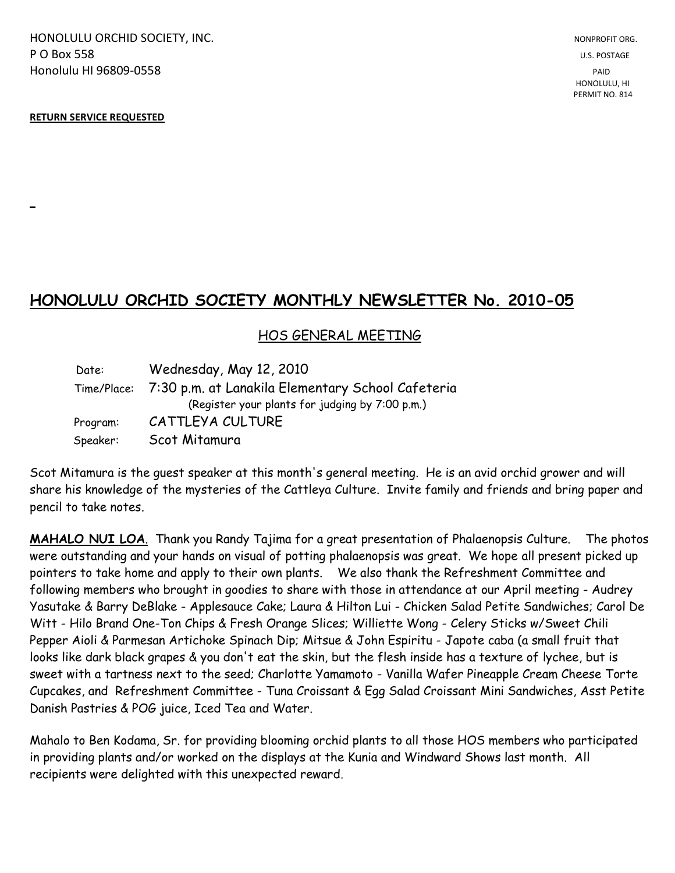HONOLULU ORCHID SOCIETY, INC. NONPROFIT ORG. NONPROFIT ORG. **P O Box 558** U.S. POSTAGE Honolulu HI 96809-0558 PAID

## **RETURN SERVICE REQUESTED**

**\_**

## **HONOLULU ORCHID SOCIETY MONTHLY NEWSLETTER No. 2010-05**

## HOS GENERAL MEETING

| Date:    | Wednesday, May 12, 2010                                       |
|----------|---------------------------------------------------------------|
|          | Time/Place: 7:30 p.m. at Lanakila Elementary School Cafeteria |
|          | (Register your plants for judging by 7:00 p.m.)               |
| Program: | CATTLEYA CULTURE                                              |
| Speaker: | Scot Mitamura                                                 |

Scot Mitamura is the guest speaker at this month's general meeting. He is an avid orchid grower and will share his knowledge of the mysteries of the Cattleya Culture. Invite family and friends and bring paper and pencil to take notes.

**MAHALO NUI LOA**. Thank you Randy Tajima for a great presentation of Phalaenopsis Culture. The photos were outstanding and your hands on visual of potting phalaenopsis was great. We hope all present picked up pointers to take home and apply to their own plants. We also thank the Refreshment Committee and following members who brought in goodies to share with those in attendance at our April meeting - Audrey Yasutake & Barry DeBlake - Applesauce Cake; Laura & Hilton Lui - Chicken Salad Petite Sandwiches; Carol De Witt - Hilo Brand One-Ton Chips & Fresh Orange Slices; Williette Wong - Celery Sticks w/Sweet Chili Pepper Aioli & Parmesan Artichoke Spinach Dip; Mitsue & John Espiritu - Japote caba (a small fruit that looks like dark black grapes & you don't eat the skin, but the flesh inside has a texture of lychee, but is sweet with a tartness next to the seed; Charlotte Yamamoto - Vanilla Wafer Pineapple Cream Cheese Torte Cupcakes, and Refreshment Committee - Tuna Croissant & Egg Salad Croissant Mini Sandwiches, Asst Petite Danish Pastries & POG juice, Iced Tea and Water.

Mahalo to Ben Kodama, Sr. for providing blooming orchid plants to all those HOS members who participated in providing plants and/or worked on the displays at the Kunia and Windward Shows last month. All recipients were delighted with this unexpected reward.